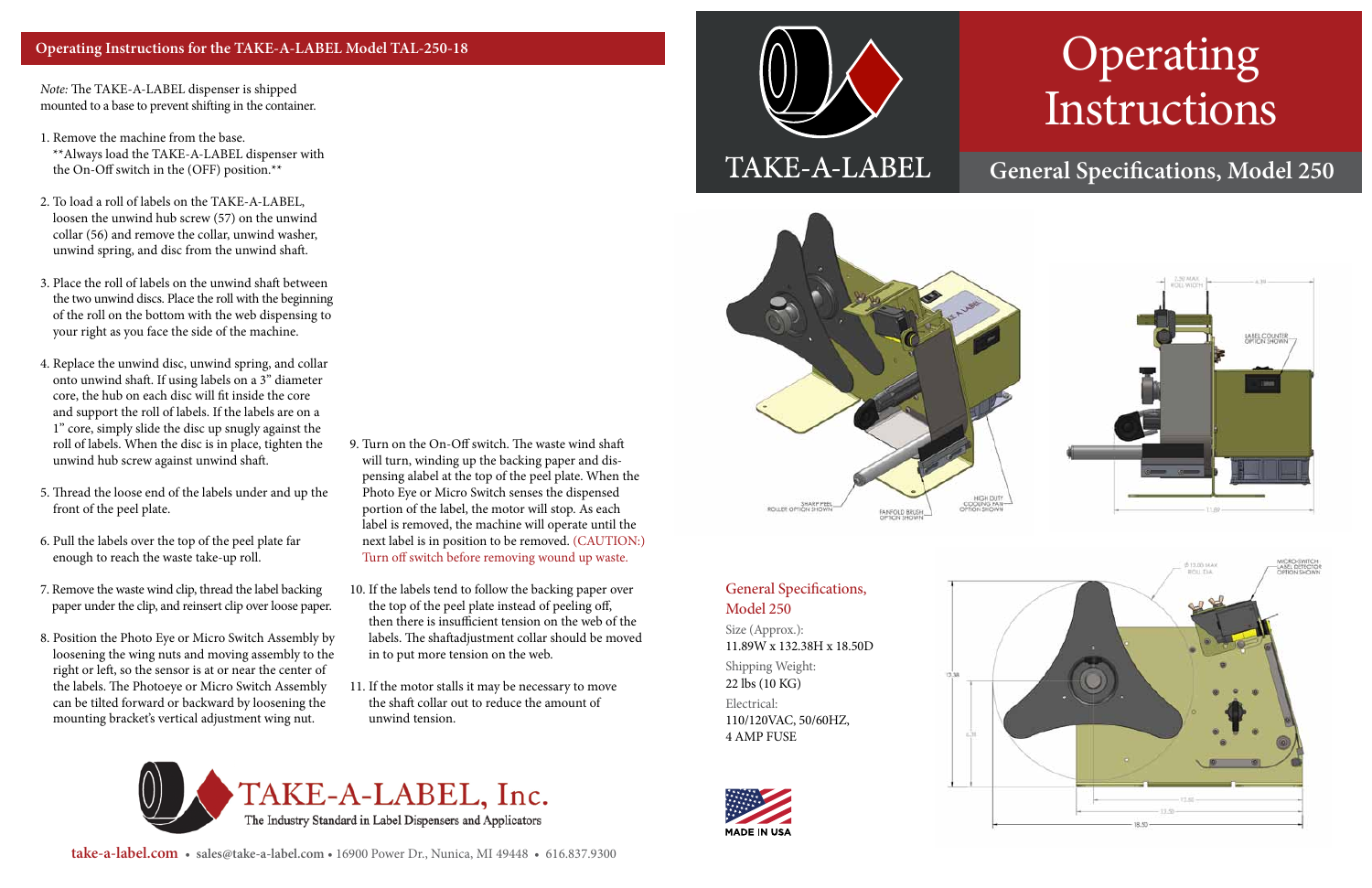## Operating Instructions

## **General Specifications, Model 250**

### General Specifications, Model 250

Size (Approx.): 11.89W x 132.38H x 18.50D Shipping Weight: 22 lbs (10 KG) Electrical: 110/120VAC, 50/60HZ, 4 AMP FUSE





**take-a-label.com** • **sales@take-a-label.com** • 16900 Power Dr., Nunica, MI 49448 • 616.837.9300

*Note:* The TAKE-A-LABEL dispenser is shipped mounted to a base to prevent shifting in the container.

1. Remove the machine from the base.

\*\*Always load the TAKE-A-LABEL dispenser with the On-Off switch in the (OFF) position.\*\*

- 2. To load a roll of labels on the TAKE-A-LABEL, loosen the unwind hub screw (57) on the unwind collar (56) and remove the collar, unwind washer, unwind spring, and disc from the unwind shaft.
- 3. Place the roll of labels on the unwind shaft between the two unwind discs. Place the roll with the beginning of the roll on the bottom with the web dispensing to your right as you face the side of the machine.
- 4. Replace the unwind disc, unwind spring, and collar onto unwind shaft. If using labels on a 3" diameter core, the hub on each disc will fit inside the core and support the roll of labels. If the labels are on a 1" core, simply slide the disc up snugly against the roll of labels. When the disc is in place, tighten the unwind hub screw against unwind shaft.
- 5. Thread the loose end of the labels under and up the front of the peel plate.
- 6. Pull the labels over the top of the peel plate far enough to reach the waste take-up roll.
- 7. Remove the waste wind clip, thread the label backing paper under the clip, and reinsert clip over loose paper.
- 8. Position the Photo Eye or Micro Switch Assembly by loosening the wing nuts and moving assembly to the right or left, so the sensor is at or near the center of the labels. The Photoeye or Micro Switch Assembly can be tilted forward or backward by loosening the mounting bracket's vertical adjustment wing nut.
- 9. Turn on the On-Off switch. The waste wind shaft will turn, winding up the backing paper and dispensing alabel at the top of the peel plate. When the Photo Eye or Micro Switch senses the dispensed portion of the label, the motor will stop. As each label is removed, the machine will operate until the next label is in position to be removed. (CAUTION:) Turn off switch before removing wound up waste.
- 10. If the labels tend to follow the backing paper over the top of the peel plate instead of peeling off, then there is insufficient tension on the web of the labels. The shaftadjustment collar should be moved in to put more tension on the web.
- 11. If the motor stalls it may be necessary to move the shaft collar out to reduce the amount of unwind tension.



# TAKE-A-LABEL